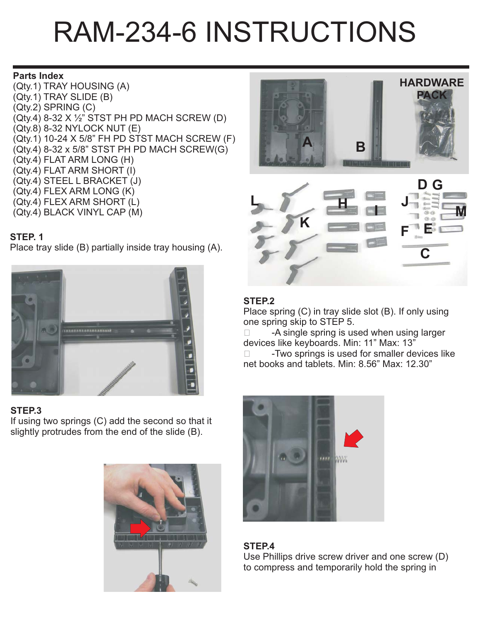# RAM-234-6 INSTRUCTIONS

#### **Parts Index**

(Qty.1) TRAY HOUSING (A) (Qty.1) TRAY SLIDE (B) (Qty.2) SPRING (C) (Qty.4) 8-32 X ½" STST PH PD MACH SCREW (D) (Qty.8) 8-32 NYLOCK NUT (E) (Qty.1) 10-24 X 5/8" FH PD STST MACH SCREW (F) (Qty.4) 8-32 x 5/8" STST PH PD MACH SCREW(G) (Qty.4) FLAT ARM LONG (H) (Qty.4) FLAT ARM SHORT (I) (Qty.4) STEEL L BRACKET (J) (Qty.4) FLEX ARM LONG (K) (Qty.4) FLEX ARM SHORT (L) (Qty.4) BLACK VINYL CAP (M)

# **STEP. 1**

Place tray slide (B) partially inside tray housing (A).



# **STEP.3**

If using two springs (C) add the second so that it slightly protrudes from the end of the slide (B).







# **STEP.2**

Place spring (C) in tray slide slot (B). If only using one spring skip to STEP 5.

 $\Box$  -A single spring is used when using larger devices like keyboards. Min: 11" Max: 13"

 -Two springs is used for smaller devices like net books and tablets. Min: 8.56" Max: 12.30"



# **STEP.4**

Use Phillips drive screw driver and one screw (D) to compress and temporarily hold the spring in